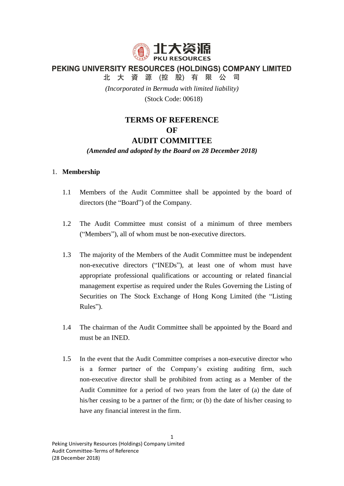

PEKING UNIVERSITY RESOURCES (HOLDINGS) COMPANY LIMITED

北大資源(控股)有限公司

*(Incorporated in Bermuda with limited liability)*

(Stock Code: 00618)

# **TERMS OF REFERENCE OF AUDIT COMMITTEE**

# *(Amended and adopted by the Board on 28 December 2018)*

# 1. **Membership**

- 1.1 Members of the Audit Committee shall be appointed by the board of directors (the "Board") of the Company.
- 1.2 The Audit Committee must consist of a minimum of three members ("Members"), all of whom must be non-executive directors.
- 1.3 The majority of the Members of the Audit Committee must be independent non-executive directors ("INEDs"), at least one of whom must have appropriate professional qualifications or accounting or related financial management expertise as required under the Rules Governing the Listing of Securities on The Stock Exchange of Hong Kong Limited (the "Listing Rules").
- 1.4 The chairman of the Audit Committee shall be appointed by the Board and must be an INED.
- 1.5 In the event that the Audit Committee comprises a non-executive director who is a former partner of the Company's existing auditing firm, such non-executive director shall be prohibited from acting as a Member of the Audit Committee for a period of two years from the later of (a) the date of his/her ceasing to be a partner of the firm; or (b) the date of his/her ceasing to have any financial interest in the firm.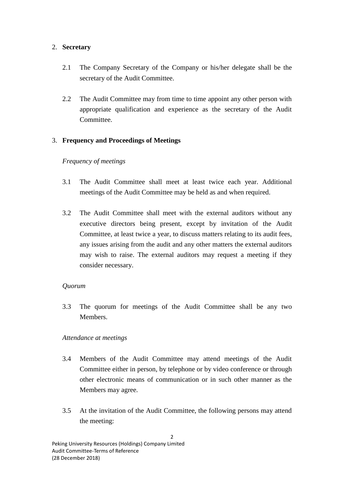# 2. **Secretary**

- 2.1 The Company Secretary of the Company or his/her delegate shall be the secretary of the Audit Committee.
- 2.2 The Audit Committee may from time to time appoint any other person with appropriate qualification and experience as the secretary of the Audit Committee.

# 3. **Frequency and Proceedings of Meetings**

# *Frequency of meetings*

- 3.1 The Audit Committee shall meet at least twice each year. Additional meetings of the Audit Committee may be held as and when required.
- 3.2 The Audit Committee shall meet with the external auditors without any executive directors being present, except by invitation of the Audit Committee, at least twice a year, to discuss matters relating to its audit fees, any issues arising from the audit and any other matters the external auditors may wish to raise. The external auditors may request a meeting if they consider necessary.

## *Quorum*

3.3 The quorum for meetings of the Audit Committee shall be any two Members.

## *Attendance at meetings*

- 3.4 Members of the Audit Committee may attend meetings of the Audit Committee either in person, by telephone or by video conference or through other electronic means of communication or in such other manner as the Members may agree.
- 3.5 At the invitation of the Audit Committee, the following persons may attend the meeting: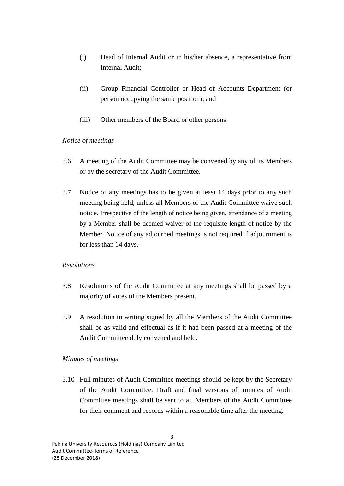- (i) Head of Internal Audit or in his/her absence, a representative from Internal Audit;
- (ii) Group Financial Controller or Head of Accounts Department (or person occupying the same position); and
- (iii) Other members of the Board or other persons.

#### *Notice of meetings*

- 3.6 A meeting of the Audit Committee may be convened by any of its Members or by the secretary of the Audit Committee.
- 3.7 Notice of any meetings has to be given at least 14 days prior to any such meeting being held, unless all Members of the Audit Committee waive such notice. Irrespective of the length of notice being given, attendance of a meeting by a Member shall be deemed waiver of the requisite length of notice by the Member. Notice of any adjourned meetings is not required if adjournment is for less than 14 days.

## *Resolutions*

- 3.8 Resolutions of the Audit Committee at any meetings shall be passed by a majority of votes of the Members present.
- 3.9 A resolution in writing signed by all the Members of the Audit Committee shall be as valid and effectual as if it had been passed at a meeting of the Audit Committee duly convened and held.

#### *Minutes of meetings*

3.10 Full minutes of Audit Committee meetings should be kept by the Secretary of the Audit Committee. Draft and final versions of minutes of Audit Committee meetings shall be sent to all Members of the Audit Committee for their comment and records within a reasonable time after the meeting.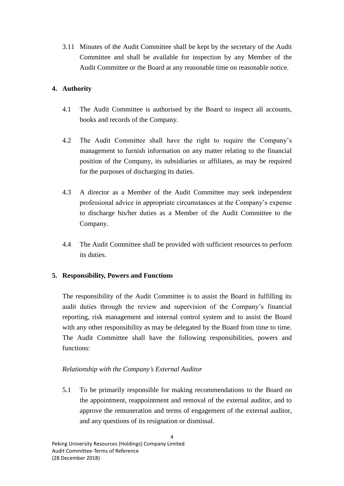3.11 Minutes of the Audit Committee shall be kept by the secretary of the Audit Committee and shall be available for inspection by any Member of the Audit Committee or the Board at any reasonable time on reasonable notice.

# **4. Authority**

- 4.1 The Audit Committee is authorised by the Board to inspect all accounts, books and records of the Company.
- 4.2 The Audit Committee shall have the right to require the Company's management to furnish information on any matter relating to the financial position of the Company, its subsidiaries or affiliates, as may be required for the purposes of discharging its duties.
- 4.3 A director as a Member of the Audit Committee may seek independent professional advice in appropriate circumstances at the Company's expense to discharge his/her duties as a Member of the Audit Committee to the Company.
- 4.4 The Audit Committee shall be provided with sufficient resources to perform its duties.

# **5. Responsibility, Powers and Functions**

The responsibility of the Audit Committee is to assist the Board in fulfilling its audit duties through the review and supervision of the Company's financial reporting, risk management and internal control system and to assist the Board with any other responsibility as may be delegated by the Board from time to time. The Audit Committee shall have the following responsibilities, powers and functions:

# *Relationship with the Company's External Auditor*

5.1 To be primarily responsible for making recommendations to the Board on the appointment, reappointment and removal of the external auditor, and to approve the remuneration and terms of engagement of the external auditor, and any questions of its resignation or dismissal.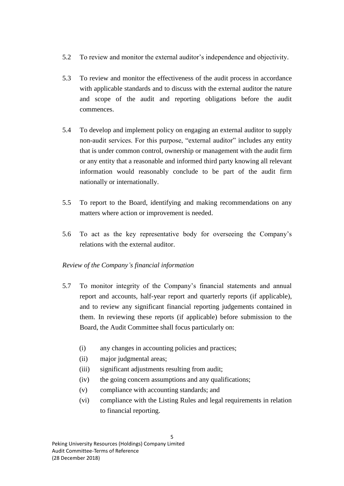- 5.2 To review and monitor the external auditor's independence and objectivity.
- 5.3 To review and monitor the effectiveness of the audit process in accordance with applicable standards and to discuss with the external auditor the nature and scope of the audit and reporting obligations before the audit commences.
- 5.4 To develop and implement policy on engaging an external auditor to supply non-audit services. For this purpose, "external auditor" includes any entity that is under common control, ownership or management with the audit firm or any entity that a reasonable and informed third party knowing all relevant information would reasonably conclude to be part of the audit firm nationally or internationally.
- 5.5 To report to the Board, identifying and making recommendations on any matters where action or improvement is needed.
- 5.6 To act as the key representative body for overseeing the Company's relations with the external auditor.

# *Review of the Company's financial information*

- 5.7 To monitor integrity of the Company's financial statements and annual report and accounts, half-year report and quarterly reports (if applicable), and to review any significant financial reporting judgements contained in them. In reviewing these reports (if applicable) before submission to the Board, the Audit Committee shall focus particularly on:
	- (i) any changes in accounting policies and practices;
	- (ii) major judgmental areas;
	- (iii) significant adjustments resulting from audit;
	- (iv) the going concern assumptions and any qualifications;
	- (v) compliance with accounting standards; and
	- (vi) compliance with the Listing Rules and legal requirements in relation to financial reporting.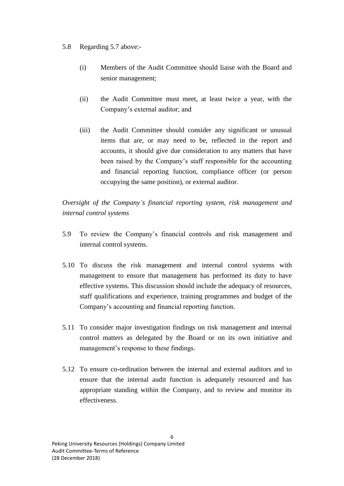### 5.8 Regarding 5.7 above:-

- (i) Members of the Audit Committee should liaise with the Board and senior management;
- (ii) the Audit Committee must meet, at least twice a year, with the Company's external auditor; and
- (iii) the Audit Committee should consider any significant or unusual items that are, or may need to be, reflected in the report and accounts, it should give due consideration to any matters that have been raised by the Company's staff responsible for the accounting and financial reporting function, compliance officer (or person occupying the same position), or external auditor.

*Oversight of the Company's financial reporting system, risk management and internal control systems*

- 5.9 To review the Company's financial controls and risk management and internal control systems.
- 5.10 To discuss the risk management and internal control systems with management to ensure that management has performed its duty to have effective systems. This discussion should include the adequacy of resources, staff qualifications and experience, training programmes and budget of the Company's accounting and financial reporting function.
- 5.11 To consider major investigation findings on risk management and internal control matters as delegated by the Board or on its own initiative and management's response to these findings.
- 5.12 To ensure co-ordination between the internal and external auditors and to ensure that the internal audit function is adequately resourced and has appropriate standing within the Company, and to review and monitor its effectiveness.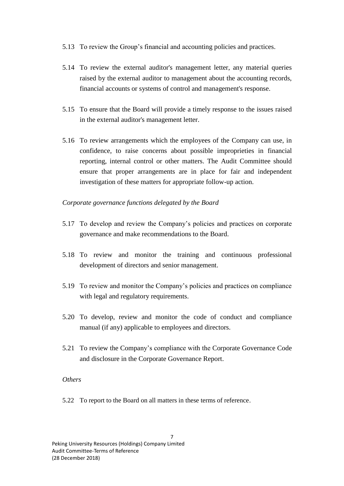- 5.13 To review the Group's financial and accounting policies and practices.
- 5.14 To review the external auditor's management letter, any material queries raised by the external auditor to management about the accounting records, financial accounts or systems of control and management's response.
- 5.15 To ensure that the Board will provide a timely response to the issues raised in the external auditor's management letter.
- 5.16 To review arrangements which the employees of the Company can use, in confidence, to raise concerns about possible improprieties in financial reporting, internal control or other matters. The Audit Committee should ensure that proper arrangements are in place for fair and independent investigation of these matters for appropriate follow-up action.

## *Corporate governance functions delegated by the Board*

- 5.17 To develop and review the Company's policies and practices on corporate governance and make recommendations to the Board.
- 5.18 To review and monitor the training and continuous professional development of directors and senior management.
- 5.19 To review and monitor the Company's policies and practices on compliance with legal and regulatory requirements.
- 5.20 To develop, review and monitor the code of conduct and compliance manual (if any) applicable to employees and directors.
- 5.21 To review the Company's compliance with the Corporate Governance Code and disclosure in the Corporate Governance Report.

#### *Others*

5.22 To report to the Board on all matters in these terms of reference.